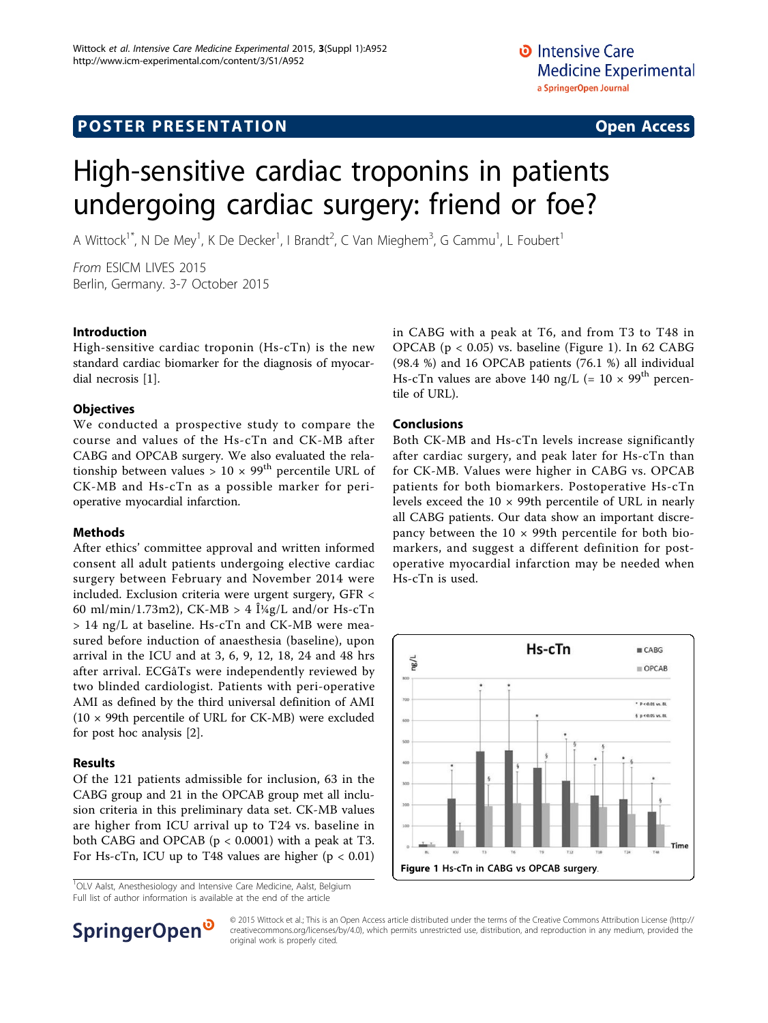# **POSTER PRESENTATION CONSUMING THE SERVICE SERVICE SERVICES**

# High-sensitive cardiac troponins in patients undergoing cardiac surgery: friend or foe?

A Wittock<sup>1\*</sup>, N De Mey<sup>1</sup>, K De Decker<sup>1</sup>, I Brandt<sup>2</sup>, C Van Mieghem<sup>3</sup>, G Cammu<sup>1</sup>, L Foubert<sup>1</sup>

From ESICM LIVES 2015 Berlin, Germany. 3-7 October 2015

#### Introduction

High-sensitive cardiac troponin (Hs-cTn) is the new standard cardiac biomarker for the diagnosis of myocardial necrosis [[1\]](#page-1-0).

#### **Objectives**

We conducted a prospective study to compare the course and values of the Hs-cTn and CK-MB after CABG and OPCAB surgery. We also evaluated the relationship between values >  $10 \times 99^{th}$  percentile URL of CK-MB and Hs-cTn as a possible marker for perioperative myocardial infarction.

## Methods

After ethics' committee approval and written informed consent all adult patients undergoing elective cardiac surgery between February and November 2014 were included. Exclusion criteria were urgent surgery, GFR < 60 ml/min/1.73m2), CK-MB  $> 4$   $\frac{1}{4}$ g/L and/or Hs-cTn > 14 ng/L at baseline. Hs-cTn and CK-MB were measured before induction of anaesthesia (baseline), upon arrival in the ICU and at 3, 6, 9, 12, 18, 24 and 48 hrs after arrival. ECGâTs were independently reviewed by two blinded cardiologist. Patients with peri-operative AMI as defined by the third universal definition of AMI (10 × 99th percentile of URL for CK-MB) were excluded for post hoc analysis [[2](#page-1-0)].

## Results

Of the 121 patients admissible for inclusion, 63 in the CABG group and 21 in the OPCAB group met all inclusion criteria in this preliminary data set. CK-MB values are higher from ICU arrival up to T24 vs. baseline in both CABG and OPCAB  $(p < 0.0001)$  with a peak at T3. For Hs-cTn, ICU up to T48 values are higher  $(p < 0.01)$ 

<sup>1</sup>OLV Aalst, Anesthesiology and Intensive Care Medicine, Aalst, Belgium Full list of author information is available at the end of the article

in CABG with a peak at T6, and from T3 to T48 in OPCAB (p < 0.05) vs. baseline (Figure 1). In 62 CABG (98.4 %) and 16 OPCAB patients (76.1 %) all individual Hs-cTn values are above 140 ng/L (=  $10 \times 99^{th}$  percentile of URL).

## Conclusions

Both CK-MB and Hs-cTn levels increase significantly after cardiac surgery, and peak later for Hs-cTn than for CK-MB. Values were higher in CABG vs. OPCAB patients for both biomarkers. Postoperative Hs-cTn levels exceed the 10 × 99th percentile of URL in nearly all CABG patients. Our data show an important discrepancy between the  $10 \times 99$ th percentile for both biomarkers, and suggest a different definition for postoperative myocardial infarction may be needed when Hs-cTn is used.





© 2015 Wittock et al.; This is an Open Access article distributed under the terms of the Creative Commons Attribution License [\(http://](http://creativecommons.org/licenses/by/4.0) [creativecommons.org/licenses/by/4.0](http://creativecommons.org/licenses/by/4.0)), which permits unrestricted use, distribution, and reproduction in any medium, provided the original work is properly cited.